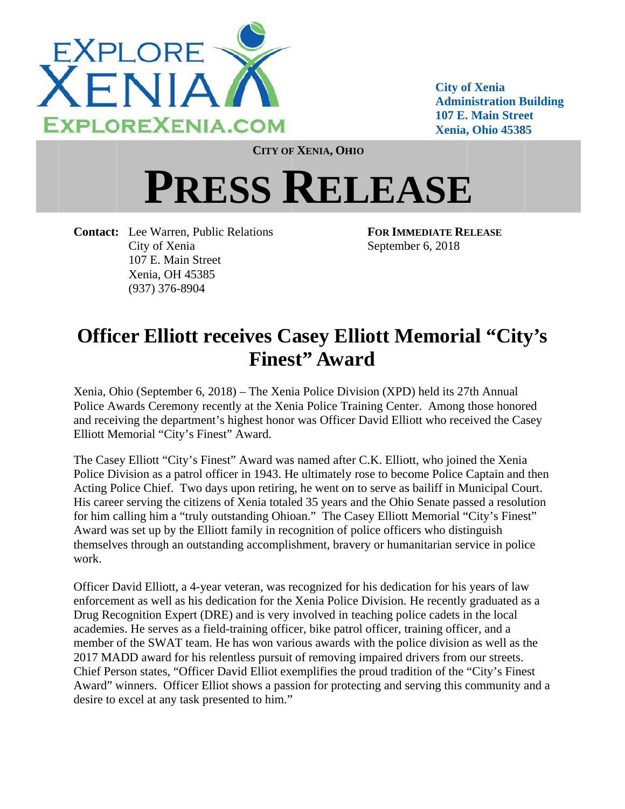

**City of Xenia Administration Building 107 E. Main Street** Xenia, Ohio 45385

**CITY OF XENIA, OHIO** 

## **PRESS RELEASE**

**Contact:** Lee Warren, Public Relations City of Xenia 107 E. Main Street Xenia, OH 45385  $(937)$  376-8904

**FOR IMMEDIATE RELEASE** September 6, 2018

## **Officer Elliott receives Casey Elliott Memorial "City's Finest**" Award

Xenia, Ohio (September 6, 2018) – The Xenia Police Division (XPD) held its 27th Annual Police Awards Ceremony recently at the Xenia Police Training Center. Among those honored and receiving the department's highest honor was Officer David Elliott who received the Casey Elliott Memorial "City's Finest" Award.

The Casey Elliott "City's Finest" Award was named after C.K. Elliott, who joined the Xenia Police Division as a patrol officer in 1943. He ultimately rose to become Police Captain and then Acting Police Chief. Two days upon retiring, he went on to serve as bailiff in Municipal Court. His career serving the citizens of Xenia totaled 35 years and the Ohio Senate passed a resolution for him calling him a "truly outstanding Ohioan." The Casey Elliott Memorial "City's Finest" Award was set up by the Elliott family in recognition of police officers who distinguish themselves through an outstanding accomplishment, bravery or humanitarian service in police work

Officer David Elliott, a 4-year veteran, was recognized for his dedication for his years of law enforcement as well as his dedication for the Xenia Police Division. He recently graduated as a Drug Recognition Expert (DRE) and is very involved in teaching police cadets in the local academies. He serves as a field-training officer, bike patrol officer, training officer, and a member of the SWAT team. He has won various awards with the police division as well as the 2017 MADD award for his relentless pursuit of removing impaired drivers from our streets. Chief Person states, "Officer David Elliot exemplifies the proud tradition of the "City's Finest" Award" winners. Officer Elliot shows a passion for protecting and serving this community and a desire to excel at any task presented to him."